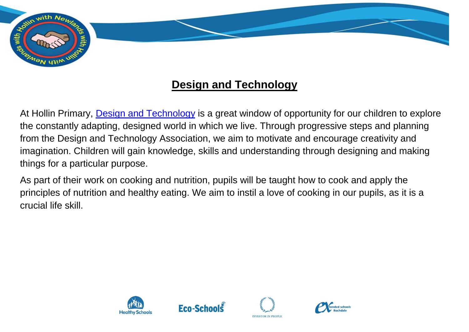

## **Design and Technology**

At Hollin Primary, [Design and Technology](https://assets.publishing.service.gov.uk/government/uploads/system/uploads/attachment_data/file/239041/PRIMARY_national_curriculum_-_Design_and_technology.pdf) is a great window of opportunity for our children to explore the constantly adapting, designed world in which we live. Through progressive steps and planning from the Design and Technology Association, we aim to motivate and encourage creativity and imagination. Children will gain knowledge, skills and understanding through designing and making things for a particular purpose.

As part of their work on cooking and nutrition, pupils will be taught how to cook and apply the principles of nutrition and healthy eating. We aim to instil a love of cooking in our pupils, as it is a crucial life skill.







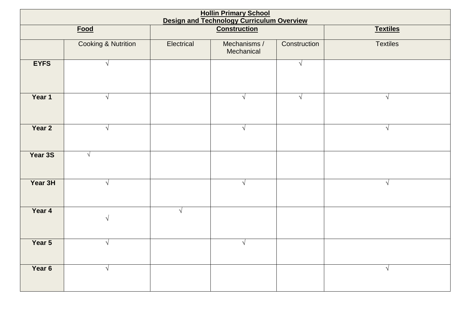| <b>Hollin Primary School</b> |                                |                                                                         |                            |              |                 |  |  |  |  |
|------------------------------|--------------------------------|-------------------------------------------------------------------------|----------------------------|--------------|-----------------|--|--|--|--|
|                              | <b>Food</b>                    | <b>Design and Technology Curriculum Overview</b><br><b>Construction</b> |                            |              | <b>Textiles</b> |  |  |  |  |
|                              | <b>Cooking &amp; Nutrition</b> | Electrical                                                              | Mechanisms /<br>Mechanical | Construction | <b>Textiles</b> |  |  |  |  |
| <b>EYFS</b>                  | $\sqrt{ }$                     |                                                                         |                            | $\sqrt{ }$   |                 |  |  |  |  |
| Year 1                       | $\sqrt{ }$                     |                                                                         | $\sqrt{ }$                 | $\sqrt{ }$   | $\sqrt{}$       |  |  |  |  |
| Year 2                       | $\sqrt{ }$                     |                                                                         | $\sqrt{ }$                 |              | $\sqrt{}$       |  |  |  |  |
| Year 3S                      | $\sqrt{ }$                     |                                                                         |                            |              |                 |  |  |  |  |
| Year 3H                      | $\sqrt{ }$                     |                                                                         | $\sqrt{ }$                 |              | $\sqrt{}$       |  |  |  |  |
| Year 4                       | $\sqrt{ }$                     | $\sqrt{}$                                                               |                            |              |                 |  |  |  |  |
| Year 5                       | $\sqrt{ }$                     |                                                                         | $\sqrt{ }$                 |              |                 |  |  |  |  |
| Year 6                       | $\sqrt{ }$                     |                                                                         |                            |              | $\sqrt{}$       |  |  |  |  |